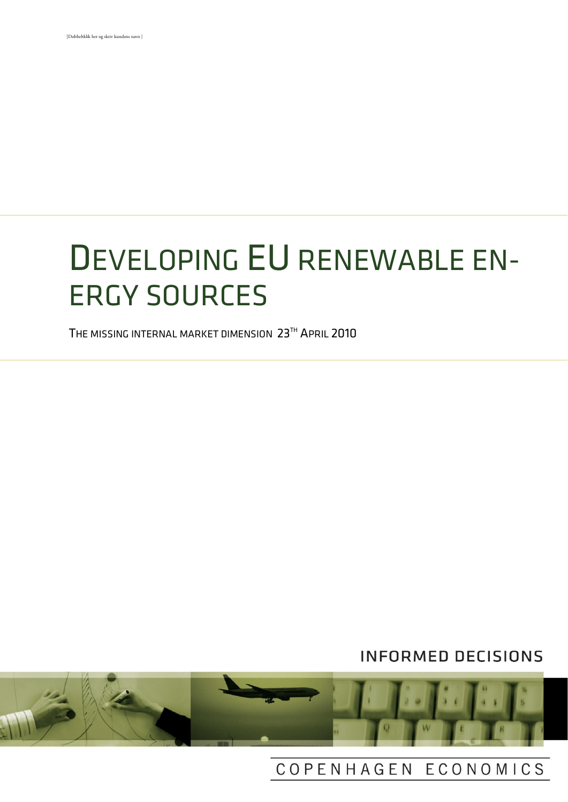# DEVELOPING EU RENEWABLE EN-ERGY SOURCES

THE MISSING INTERNAL MARKET DIMENSION 23TH APRIL 2010

# **INFORMED DECISIONS**



# COPENHAGEN ECONOMICS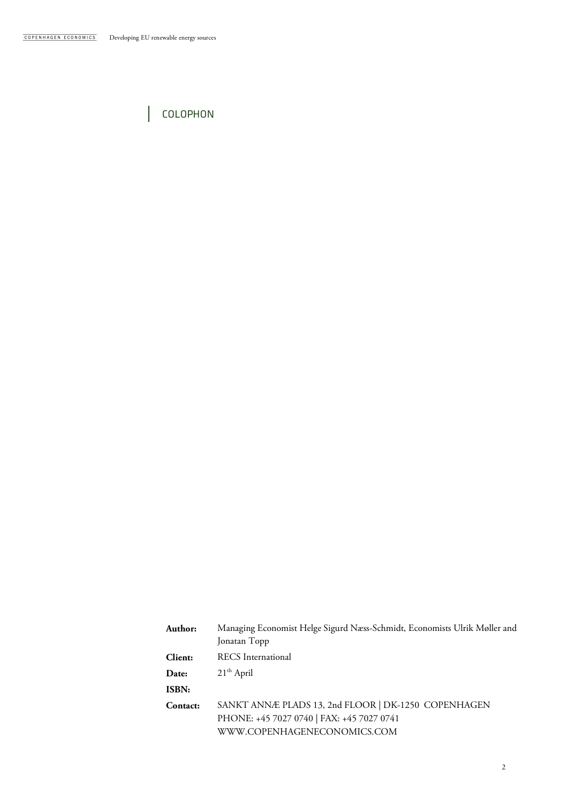COLOPHON

 $\overline{\phantom{a}}$ 

| Author:      | Managing Economist Helge Sigurd Næss-Schmidt, Economists Ulrik Møller and |
|--------------|---------------------------------------------------------------------------|
|              | Jonatan Topp                                                              |
| Client:      | <b>RECS</b> International                                                 |
| Date:        | $21th$ April                                                              |
| <b>ISBN:</b> |                                                                           |
| Contact:     | SANKT ANNÆ PLADS 13, 2nd FLOOR   DK-1250 COPENHAGEN                       |
|              | PHONE: +45 7027 0740   FAX: +45 7027 0741                                 |
|              | WWW.COPENHAGENECONOMICS.COM                                               |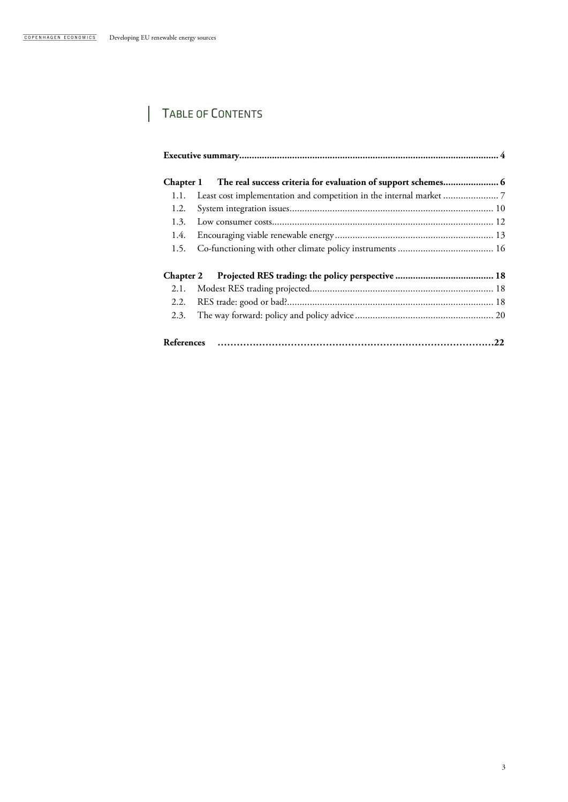$\overline{\phantom{a}}$ 

# TABLE OF CONTENTS

|                   | Chapter 1 The real success criteria for evaluation of support schemes 6 |  |  |  |
|-------------------|-------------------------------------------------------------------------|--|--|--|
| 1.1.              |                                                                         |  |  |  |
| 1.2.              |                                                                         |  |  |  |
| 1.3.              |                                                                         |  |  |  |
| 1.4.              |                                                                         |  |  |  |
| 1.5.              |                                                                         |  |  |  |
|                   |                                                                         |  |  |  |
| 2.1.              |                                                                         |  |  |  |
| 2.2.              |                                                                         |  |  |  |
| 2.3.              |                                                                         |  |  |  |
| <b>References</b> |                                                                         |  |  |  |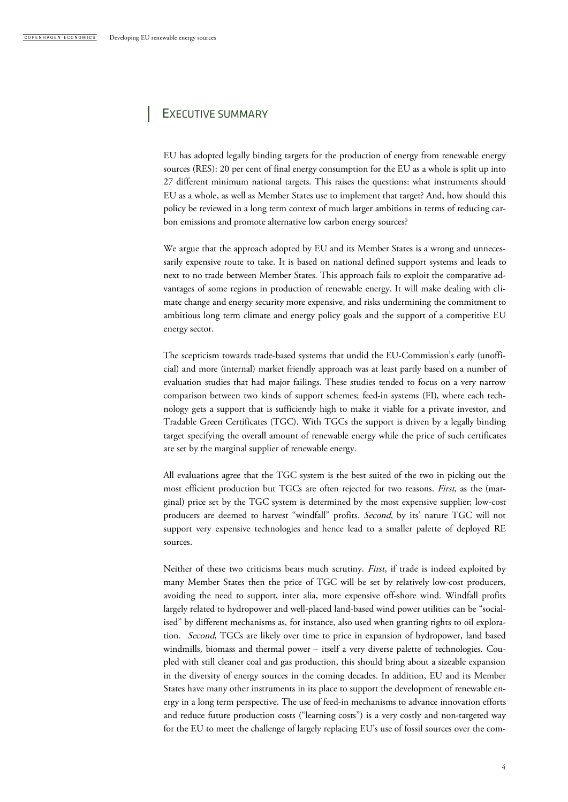# EXECUTIVE SUMMARY

EU has adopted legally binding targets for the production of energy from renewable energy sources (RES): 20 per cent of final energy consumption for the EU as a whole is split up into 27 different minimum national targets. This raises the questions: what instruments should EU as a whole, as well as Member States use to implement that target? And, how should this policy be reviewed in a long term context of much larger ambitions in terms of reducing carbon emissions and promote alternative low carbon energy sources?

We argue that the approach adopted by EU and its Member States is a wrong and unnecessarily expensive route to take. It is based on national defined support systems and leads to next to no trade between Member States. This approach fails to exploit the comparative advantages of some regions in production of renewable energy. It will make dealing with climate change and energy security more expensive, and risks undermining the commitment to ambitious long term climate and energy policy goals and the support of a competitive EU energy sector.

The scepticism towards trade-based systems that undid the EU-Commission's early (unofficial) and more (internal) market friendly approach was at least partly based on a number of evaluation studies that had major failings. These studies tended to focus on a very narrow comparison between two kinds of support schemes; feed-in systems (FI), where each technology gets a support that is sufficiently high to make it viable for a private investor, and Tradable Green Certificates (TGC). With TGCs the support is driven by a legally binding target specifying the overall amount of renewable energy while the price of such certificates are set by the marginal supplier of renewable energy.

All evaluations agree that the TGC system is the best suited of the two in picking out the most efficient production but TGCs are often rejected for two reasons. First, as the (marginal) price set by the TGC system is determined by the most expensive supplier; low-cost producers are deemed to harvest "windfall" profits. Second, by its' nature TGC will not support very expensive technologies and hence lead to a smaller palette of deployed RE sources.

Neither of these two criticisms bears much scrutiny. First, if trade is indeed exploited by many Member States then the price of TGC will be set by relatively low-cost producers, avoiding the need to support, inter alia, more expensive off-shore wind. Windfall profits largely related to hydropower and well-placed land-based wind power utilities can be "socialised" by different mechanisms as, for instance, also used when granting rights to oil exploration. *Second*, TGCs are likely over time to price in expansion of hydropower, land based windmills, biomass and thermal power – itself a very diverse palette of technologies. Coupled with still cleaner coal and gas production, this should bring about a sizeable expansion in the diversity of energy sources in the coming decades. In addition, EU and its Member States have many other instruments in its place to support the development of renewable energy in a long term perspective. The use of feed-in mechanisms to advance innovation efforts and reduce future production costs ("learning costs") is a very costly and non-targeted way for the EU to meet the challenge of largely replacing EU's use of fossil sources over the com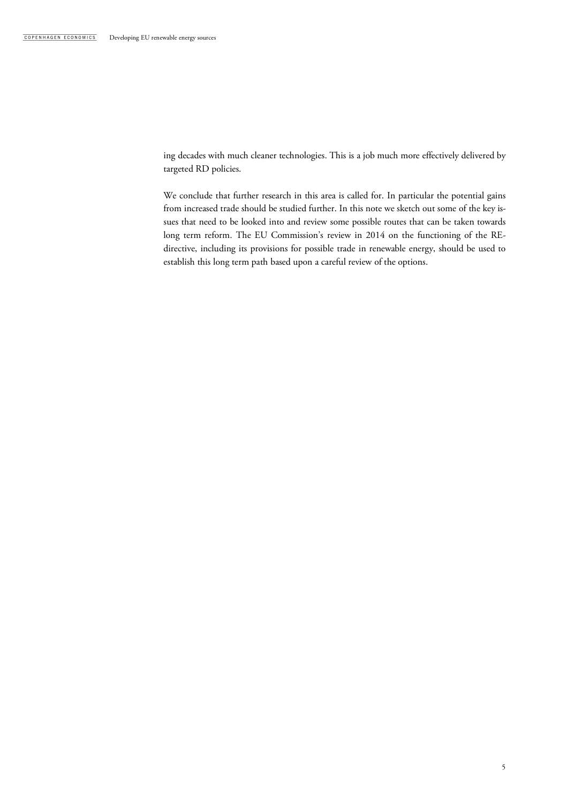ing decades with much cleaner technologies. This is a job much more effectively delivered by targeted RD policies.

We conclude that further research in this area is called for. In particular the potential gains from increased trade should be studied further. In this note we sketch out some of the key issues that need to be looked into and review some possible routes that can be taken towards long term reform. The EU Commission's review in 2014 on the functioning of the REdirective, including its provisions for possible trade in renewable energy, should be used to establish this long term path based upon a careful review of the options.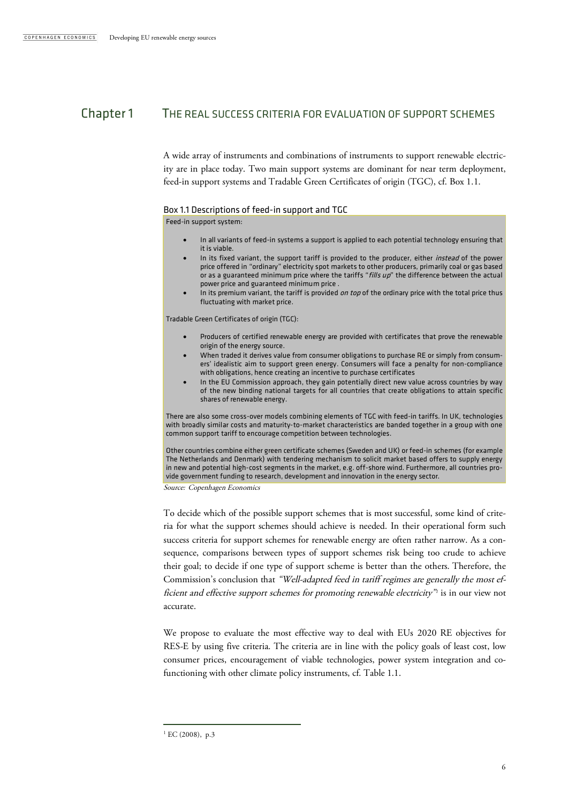# Chapter 1 THE REAL SUCCESS CRITERIA FOR EVALUATION OF SUPPORT SCHEMES

A wide array of instruments and combinations of instruments to support renewable electricity are in place today. Two main support systems are dominant for near term deployment, feed-in support systems and Tradable Green Certificates of origin (TGC), cf. Box 1.1.

#### Box 1.1 Descriptions of feed-in support and TGC

Feed-in support system:

- In all variants of feed-in systems a support is applied to each potential technology ensuring that it is viable.
- In its fixed variant, the support tariff is provided to the producer, either *instead* of the power price offered in "ordinary" electricity spot markets to other producers, primarily coal or gas based or as a guaranteed minimum price where the tariffs " $\it fils up$ " the difference between the actual power price and guaranteed minimum price .
- In its premium variant, the tariff is provided on top of the ordinary price with the total price thus fluctuating with market price.

Tradable Green Certificates of origin (TGC):

- Producers of certified renewable energy are provided with certificates that prove the renewable origin of the energy source.
- When traded it derives value from consumer obligations to purchase RE or simply from consumers' idealistic aim to support green energy. Consumers will face a penalty for non-compliance with obligations, hence creating an incentive to purchase certificates
- In the EU Commission approach, they gain potentially direct new value across countries by way of the new binding national targets for all countries that create obligations to attain specific shares of renewable energy.

There are also some cross-over models combining elements of TGC with feed-in tariffs. In UK, technologies with broadly similar costs and maturity-to-market characteristics are banded together in a group with one common support tariff to encourage competition between technologies.

Other countries combine either green certificate schemes (Sweden and UK) or feed-in schemes (for example The Netherlands and Denmark) with tendering mechanism to solicit market based offers to supply energy in new and potential high-cost segments in the market, e.g. off-shore wind. Furthermore, all countries provide government funding to research, development and innovation in the energy sector.

Source: Copenhagen Economics

To decide which of the possible support schemes that is most successful, some kind of criteria for what the support schemes should achieve is needed. In their operational form such success criteria for support schemes for renewable energy are often rather narrow. As a consequence, comparisons between types of support schemes risk being too crude to achieve their goal; to decide if one type of support scheme is better than the others. Therefore, the Commission's conclusion that "Well-adapted feed in tariff regimes are generally the most efficient and effective support schemes for promoting renewable electricity"<sup>1</sup> is in our view not accurate.

We propose to evaluate the most effective way to deal with EUs 2020 RE objectives for RES-E by using five criteria. The criteria are in line with the policy goals of least cost, low consumer prices, encouragement of viable technologies, power system integration and cofunctioning with other climate policy instruments, cf. Table 1.1.

 $1$  EC (2008), p.3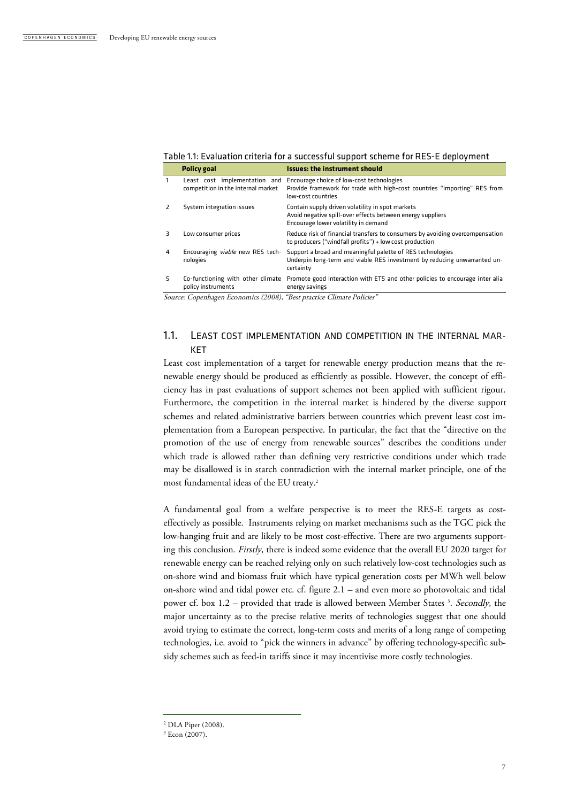|    | <b>Policy goal</b>                                                  | <b>Issues: the instrument should</b>                                                                                                                   |
|----|---------------------------------------------------------------------|--------------------------------------------------------------------------------------------------------------------------------------------------------|
|    | Least cost implementation and<br>competition in the internal market | Encourage choice of low-cost technologies<br>Provide framework for trade with high-cost countries "importing" RES from<br>low-cost countries           |
|    | System integration issues                                           | Contain supply driven volatility in spot markets<br>Avoid negative spill-over effects between energy suppliers<br>Encourage lower volatility in demand |
| ₹  | Low consumer prices                                                 | Reduce risk of financial transfers to consumers by avoiding overcompensation<br>to producers ("windfall profits") + low cost production                |
| 4  | Encouraging viable new RES tech-<br>nologies                        | Support a broad and meaningful palette of RES technologies<br>Underpin long-term and viable RES investment by reducing unwarranted un-<br>certainty    |
| 5. | policy instruments                                                  | Co-functioning with other climate Promote good interaction with ETS and other policies to encourage inter alia<br>energy savings                       |

Source: Copenhagen Economics (2008), "Best practice Climate Policies"

## 1.1. LEAST COST IMPLEMENTATION AND COMPETITION IN THE INTERNAL MAR-KET

Least cost implementation of a target for renewable energy production means that the renewable energy should be produced as efficiently as possible. However, the concept of efficiency has in past evaluations of support schemes not been applied with sufficient rigour. Furthermore, the competition in the internal market is hindered by the diverse support schemes and related administrative barriers between countries which prevent least cost implementation from a European perspective. In particular, the fact that the "directive on the promotion of the use of energy from renewable sources" describes the conditions under which trade is allowed rather than defining very restrictive conditions under which trade may be disallowed is in starch contradiction with the internal market principle, one of the most fundamental ideas of the EU treaty.<sup>2</sup>

A fundamental goal from a welfare perspective is to meet the RES-E targets as costeffectively as possible. Instruments relying on market mechanisms such as the TGC pick the low-hanging fruit and are likely to be most cost-effective. There are two arguments supporting this conclusion. Firstly, there is indeed some evidence that the overall EU 2020 target for renewable energy can be reached relying only on such relatively low-cost technologies such as on-shore wind and biomass fruit which have typical generation costs per MWh well below on-shore wind and tidal power etc. cf. figure 2.1 – and even more so photovoltaic and tidal power cf. box 1.2 – provided that trade is allowed between Member States<sup>3</sup>. Secondly, the major uncertainty as to the precise relative merits of technologies suggest that one should avoid trying to estimate the correct, long-term costs and merits of a long range of competing technologies, i.e. avoid to "pick the winners in advance" by offering technology-specific subsidy schemes such as feed-in tariffs since it may incentivise more costly technologies.

<sup>2</sup> DLA Piper (2008).

 $3$  Econ (2007).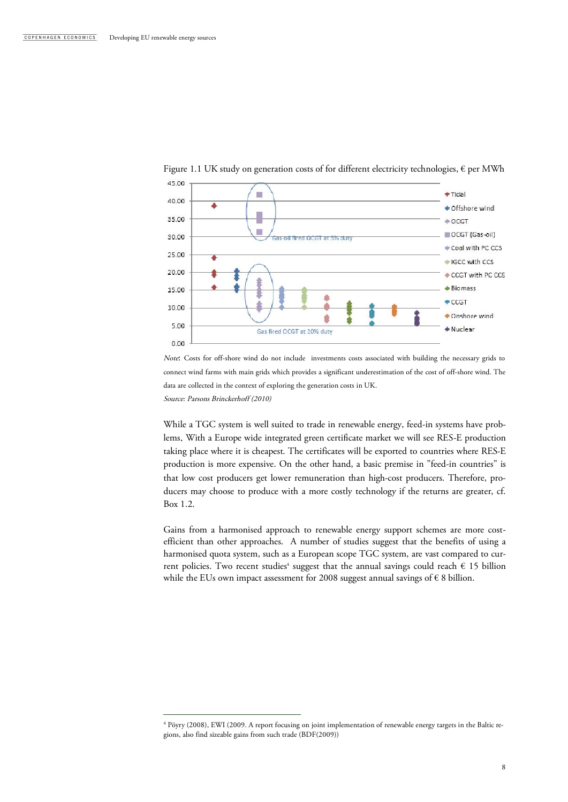

Figure 1.1 UK study on generation costs of for different electricity technologies,  $\epsilon$  per MWh

Note: Costs for off-shore wind do not include investments costs associated with building the necessary grids to connect wind farms with main grids which provides a significant underestimation of the cost of off-shore wind. The data are collected in the context of exploring the generation costs in UK. Source: Parsons Brinckerhoff (2010)

While a TGC system is well suited to trade in renewable energy, feed-in systems have problems. With a Europe wide integrated green certificate market we will see RES-E production taking place where it is cheapest. The certificates will be exported to countries where RES-E production is more expensive. On the other hand, a basic premise in "feed-in countries" is that low cost producers get lower remuneration than high-cost producers. Therefore, producers may choose to produce with a more costly technology if the returns are greater, cf. Box 1.2.

Gains from a harmonised approach to renewable energy support schemes are more costefficient than other approaches. A number of studies suggest that the benefits of using a harmonised quota system, such as a European scope TGC system, are vast compared to current policies. Two recent studies<sup>4</sup> suggest that the annual savings could reach  $\epsilon$  15 billion while the EUs own impact assessment for 2008 suggest annual savings of  $\epsilon$  8 billion.

<sup>4</sup> Pöyry (2008), EWI (2009. A report focusing on joint implementation of renewable energy targets in the Baltic regions, also find sizeable gains from such trade (BDF(2009))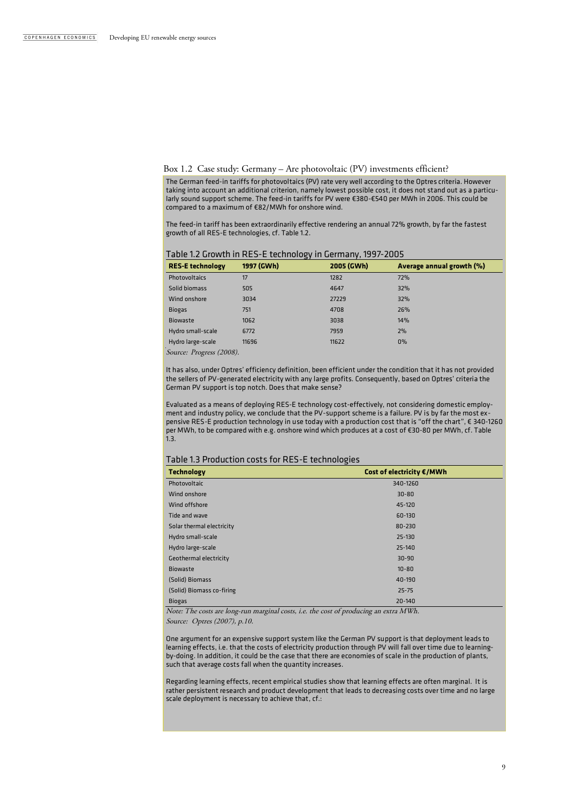#### Box 1.2 Case study: Germany – Are photovoltaic (PV) investments efficient?

The German feed-in tariffs for photovoltaics (PV) rate very well according to the Optres criteria. However taking into account an additional criterion, namely lowest possible cost, it does not stand out as a particularly sound support scheme. The feed-in tariffs for PV were €380-€540 per MWh in 2006. This could be compared to a maximum of €82/MWh for onshore wind.

The feed-in tariff has been extraordinarily effective rendering an annual 72% growth, by far the fastest growth of all RES-E technologies, cf. Table 1.2.

| Table 1.2 Growth in RES-E technology in Germany, 1997-2005 |  |
|------------------------------------------------------------|--|
|------------------------------------------------------------|--|

| <b>RES-E technology</b> | 1997 (GWh) | 2005 (GWh) | Average annual growth (%) |
|-------------------------|------------|------------|---------------------------|
| <b>Photovoltaics</b>    | 17         | 1282       | 72%                       |
| Solid biomass           | 505        | 4647       | 32%                       |
| Wind onshore            | 3034       | 27229      | 32%                       |
| <b>Biogas</b>           | 751        | 4708       | 26%                       |
| <b>Biowaste</b>         | 1062       | 3038       | 14%                       |
| Hydro small-scale       | 6772       | 7959       | 2%                        |
| Hydro large-scale       | 11696      | 11622      | $0\%$                     |

Source: Progress (2008).

It has also, under Optres' efficiency definition, been efficient under the condition that it has not provided the sellers of PV-generated electricity with any large profits. Consequently, based on Optres' criteria the German PV support is top notch. Does that make sense?

Evaluated as a means of deploying RES-E technology cost-effectively, not considering domestic employment and industry policy, we conclude that the PV-support scheme is a failure. PV is by far the most expensive RES-E production technology in use today with a production cost that is "off the chart", € 340-1260 per MWh, to be compared with e.g. onshore wind which produces at a cost of €30-80 per MWh, cf. Table  $1.3$ 

#### Table 1.3 Production costs for RES-E technologies

| <b>Technology</b>             | Cost of electricity €/MWh |
|-------------------------------|---------------------------|
| Photovoltaic                  | 340-1260                  |
| Wind onshore                  | $30 - 80$                 |
| Wind offshore                 | 45-120                    |
| Tide and wave                 | 60-130                    |
| Solar thermal electricity     | 80-230                    |
| Hydro small-scale             | $25 - 130$                |
| Hydro large-scale             | $25 - 140$                |
| <b>Geothermal electricity</b> | $30 - 90$                 |
| <b>Biowaste</b>               | $10 - 80$                 |
| (Solid) Biomass               | 40-190                    |
| (Solid) Biomass co-firing     | $25 - 75$                 |
| <b>Biogas</b>                 | $20 - 140$                |

Note: The costs are long-run marginal costs, i.e. the cost of producing an extra MWh. Source: Optres (2007), p.10.

One argument for an expensive support system like the German PV support is that deployment leads to learning effects, i.e. that the costs of electricity production through PV will fall over time due to learningby-doing. In addition, it could be the case that there are economies of scale in the production of plants, such that average costs fall when the quantity increases.

Regarding learning effects, recent empirical studies show that learning effects are often marginal. It is rather persistent research and product development that leads to decreasing costs over time and no large scale deployment is necessary to achieve that, cf.: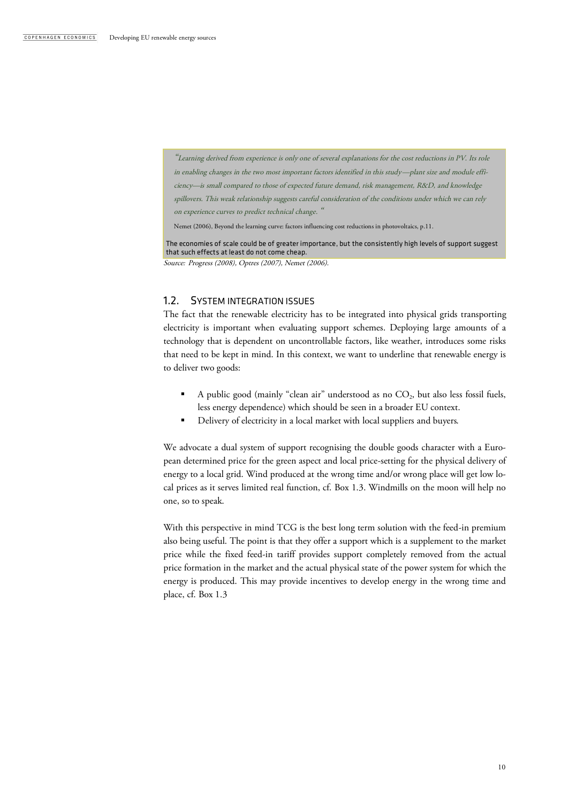"Learning derived from experience is only one of several explanations for the cost reductions in PV. Its role in enabling changes in the two most important factors identified in this study—plant size and module efficiency—is small compared to those of expected future demand, risk management, R&D, and knowledge spillovers. This weak relationship suggests careful consideration of the conditions under which we can rely on experience curves to predict technical change. "

Nemet (2006), Beyond the learning curve: factors influencing cost reductions in photovoltaics, p.11.

The economies of scale could be of greater importance, but the consistently high levels of support suggest that such effects at least do not come cheap.

Source: Progress (2008), Optres (2007), Nemet (2006).

### 1.2. SYSTEM INTEGRATION ISSUES

The fact that the renewable electricity has to be integrated into physical grids transporting electricity is important when evaluating support schemes. Deploying large amounts of a technology that is dependent on uncontrollable factors, like weather, introduces some risks that need to be kept in mind. In this context, we want to underline that renewable energy is to deliver two goods:

- $\blacksquare$  A public good (mainly "clean air" understood as no  $CO_2$ , but also less fossil fuels, less energy dependence) which should be seen in a broader EU context.
- Delivery of electricity in a local market with local suppliers and buyers.

We advocate a dual system of support recognising the double goods character with a European determined price for the green aspect and local price-setting for the physical delivery of energy to a local grid. Wind produced at the wrong time and/or wrong place will get low local prices as it serves limited real function, cf. Box 1.3. Windmills on the moon will help no one, so to speak.

With this perspective in mind TCG is the best long term solution with the feed-in premium also being useful. The point is that they offer a support which is a supplement to the market price while the fixed feed-in tariff provides support completely removed from the actual price formation in the market and the actual physical state of the power system for which the energy is produced. This may provide incentives to develop energy in the wrong time and place, cf. Box 1.3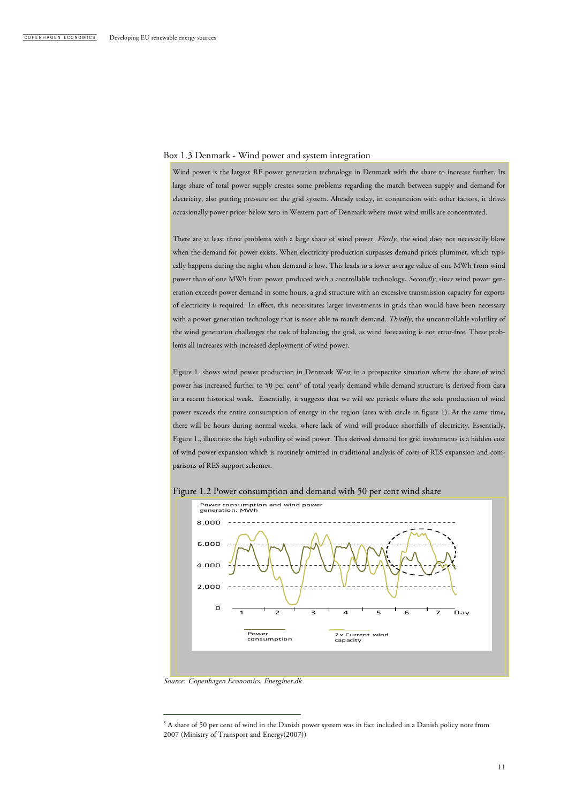#### Box 1.3 Denmark - Wind power and system integration

Wind power is the largest RE power generation technology in Denmark with the share to increase further. Its large share of total power supply creates some problems regarding the match between supply and demand for electricity, also putting pressure on the grid system. Already today, in conjunction with other factors, it drives occasionally power prices below zero in Western part of Denmark where most wind mills are concentrated.

There are at least three problems with a large share of wind power. Firstly, the wind does not necessarily blow when the demand for power exists. When electricity production surpasses demand prices plummet, which typically happens during the night when demand is low. This leads to a lower average value of one MWh from wind power than of one MWh from power produced with a controllable technology. Secondly, since wind power generation exceeds power demand in some hours, a grid structure with an excessive transmission capacity for exports of electricity is required. In effect, this necessitates larger investments in grids than would have been necessary with a power generation technology that is more able to match demand. Thirdly, the uncontrollable volatility of the wind generation challenges the task of balancing the grid, as wind forecasting is not error-free. These problems all increases with increased deployment of wind power.

Figure 1. shows wind power production in Denmark West in a prospective situation where the share of wind power has increased further to 50 per cent<sup>5</sup> of total yearly demand while demand structure is derived from data in a recent historical week. Essentially, it suggests that we will see periods where the sole production of wind power exceeds the entire consumption of energy in the region (area with circle in figure 1). At the same time, there will be hours during normal weeks, where lack of wind will produce shortfalls of electricity. Essentially, Figure 1., illustrates the high volatility of wind power. This derived demand for grid investments is a hidden cost of wind power expansion which is routinely omitted in traditional analysis of costs of RES expansion and comparisons of RES support schemes.



Figure 1.2 Power consumption and demand with 50 per cent wind share

Source: Copenhagen Economics, Energinet.dk

<sup>5</sup> A share of 50 per cent of wind in the Danish power system was in fact included in a Danish policy note from 2007 (Ministry of Transport and Energy(2007))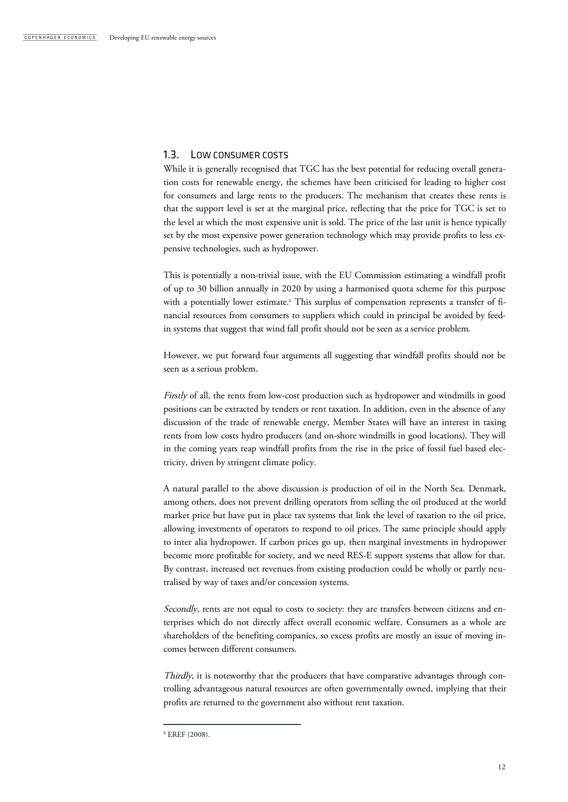### 1.3. LOW CONSUMER COSTS

While it is generally recognised that TGC has the best potential for reducing overall generation costs for renewable energy, the schemes have been criticised for leading to higher cost for consumers and large rents to the producers. The mechanism that creates these rents is that the support level is set at the marginal price, reflecting that the price for TGC is set to the level at which the most expensive unit is sold. The price of the last unit is hence typically set by the most expensive power generation technology which may provide profits to less expensive technologies, such as hydropower.

This is potentially a non-trivial issue, with the EU Commission estimating a windfall profit of up to 30 billion annually in 2020 by using a harmonised quota scheme for this purpose with a potentially lower estimate. <sup>6</sup> This surplus of compensation represents a transfer of financial resources from consumers to suppliers which could in principal be avoided by feedin systems that suggest that wind fall profit should not be seen as a service problem.

However, we put forward four arguments all suggesting that windfall profits should not be seen as a serious problem.

Firstly of all, the rents from low-cost production such as hydropower and windmills in good positions can be extracted by tenders or rent taxation. In addition, even in the absence of any discussion of the trade of renewable energy, Member States will have an interest in taxing rents from low costs hydro producers (and on-shore windmills in good locations). They will in the coming years reap windfall profits from the rise in the price of fossil fuel based electricity, driven by stringent climate policy.

A natural parallel to the above discussion is production of oil in the North Sea. Denmark, among others, does not prevent drilling operators from selling the oil produced at the world market price but have put in place tax systems that link the level of taxation to the oil price, allowing investments of operators to respond to oil prices. The same principle should apply to inter alia hydropower. If carbon prices go up, then marginal investments in hydropower become more profitable for society, and we need RES-E support systems that allow for that. By contrast, increased net revenues from existing production could be wholly or partly neutralised by way of taxes and/or concession systems.

Secondly, rents are not equal to costs to society: they are transfers between citizens and enterprises which do not directly affect overall economic welfare. Consumers as a whole are shareholders of the benefiting companies, so excess profits are mostly an issue of moving incomes between different consumers.

Thirdly, it is noteworthy that the producers that have comparative advantages through controlling advantageous natural resources are often governmentally owned, implying that their profits are returned to the government also without rent taxation.

<sup>6</sup> EREF (2008).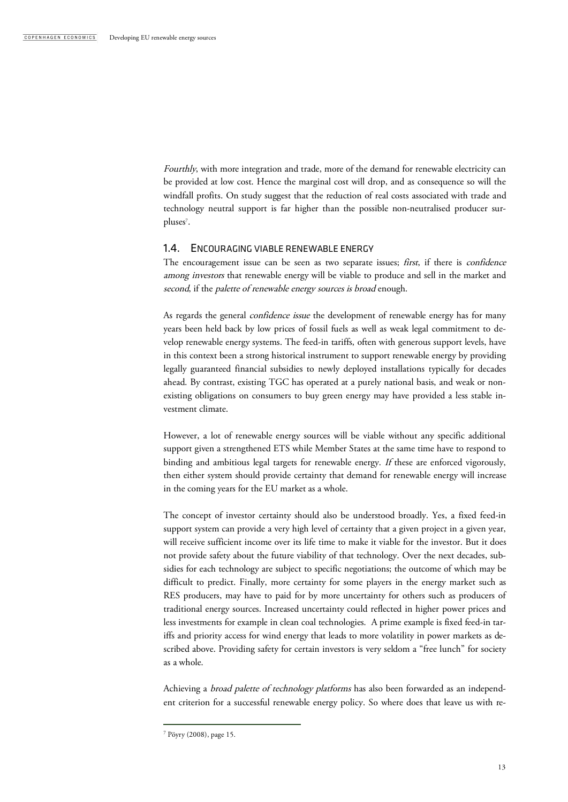Fourthly, with more integration and trade, more of the demand for renewable electricity can be provided at low cost. Hence the marginal cost will drop, and as consequence so will the windfall profits. On study suggest that the reduction of real costs associated with trade and technology neutral support is far higher than the possible non-neutralised producer surpluses<sup>7</sup>.

#### 1.4. ENCOURAGING VIABLE RENEWABLE ENERGY

The encouragement issue can be seen as two separate issues; first, if there is *confidence* among investors that renewable energy will be viable to produce and sell in the market and second, if the palette of renewable energy sources is broad enough.

As regards the general *confidence issue* the development of renewable energy has for many years been held back by low prices of fossil fuels as well as weak legal commitment to develop renewable energy systems. The feed-in tariffs, often with generous support levels, have in this context been a strong historical instrument to support renewable energy by providing legally guaranteed financial subsidies to newly deployed installations typically for decades ahead. By contrast, existing TGC has operated at a purely national basis, and weak or nonexisting obligations on consumers to buy green energy may have provided a less stable investment climate.

However, a lot of renewable energy sources will be viable without any specific additional support given a strengthened ETS while Member States at the same time have to respond to binding and ambitious legal targets for renewable energy. If these are enforced vigorously, then either system should provide certainty that demand for renewable energy will increase in the coming years for the EU market as a whole.

The concept of investor certainty should also be understood broadly. Yes, a fixed feed-in support system can provide a very high level of certainty that a given project in a given year, will receive sufficient income over its life time to make it viable for the investor. But it does not provide safety about the future viability of that technology. Over the next decades, subsidies for each technology are subject to specific negotiations; the outcome of which may be difficult to predict. Finally, more certainty for some players in the energy market such as RES producers, may have to paid for by more uncertainty for others such as producers of traditional energy sources. Increased uncertainty could reflected in higher power prices and less investments for example in clean coal technologies. A prime example is fixed feed-in tariffs and priority access for wind energy that leads to more volatility in power markets as described above. Providing safety for certain investors is very seldom a "free lunch" for society as a whole.

Achieving a broad palette of technology platforms has also been forwarded as an independent criterion for a successful renewable energy policy. So where does that leave us with re-

<sup>7</sup> Pöyry (2008), page 15.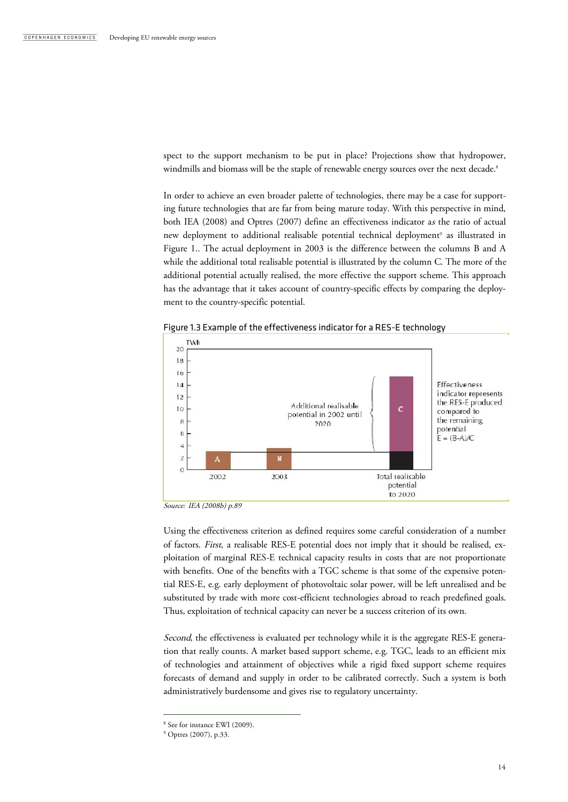spect to the support mechanism to be put in place? Projections show that hydropower, windmills and biomass will be the staple of renewable energy sources over the next decade. 8

In order to achieve an even broader palette of technologies, there may be a case for supporting future technologies that are far from being mature today. With this perspective in mind, both IEA (2008) and Optres (2007) define an effectiveness indicator as the ratio of actual new deployment to additional realisable potential technical deployment<sup>9</sup> as illustrated in Figure 1.. The actual deployment in 2003 is the difference between the columns B and A while the additional total realisable potential is illustrated by the column C. The more of the additional potential actually realised, the more effective the support scheme. This approach has the advantage that it takes account of country-specific effects by comparing the deployment to the country-specific potential.



Figure 1.3 Example of the effectiveness indicator for a RES-E technology

Source: IEA (2008b) p.89

Using the effectiveness criterion as defined requires some careful consideration of a number of factors. First, a realisable RES-E potential does not imply that it should be realised, exploitation of marginal RES-E technical capacity results in costs that are not proportionate with benefits. One of the benefits with a TGC scheme is that some of the expensive potential RES-E, e.g. early deployment of photovoltaic solar power, will be left unrealised and be substituted by trade with more cost-efficient technologies abroad to reach predefined goals. Thus, exploitation of technical capacity can never be a success criterion of its own.

Second, the effectiveness is evaluated per technology while it is the aggregate RES-E generation that really counts. A market based support scheme, e.g. TGC, leads to an efficient mix of technologies and attainment of objectives while a rigid fixed support scheme requires forecasts of demand and supply in order to be calibrated correctly. Such a system is both administratively burdensome and gives rise to regulatory uncertainty.

<sup>8</sup> See for instance EWI (2009).

<sup>9</sup> Optres (2007), p.33.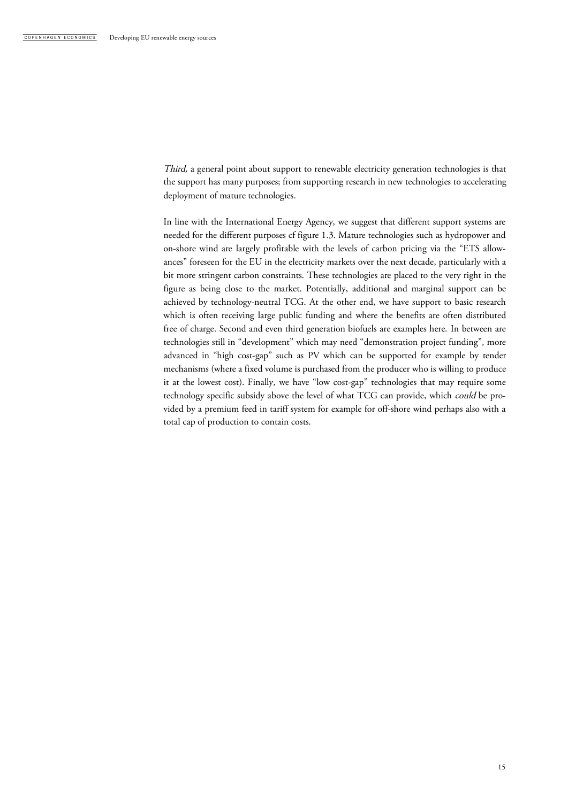Third, a general point about support to renewable electricity generation technologies is that the support has many purposes; from supporting research in new technologies to accelerating deployment of mature technologies.

In line with the International Energy Agency, we suggest that different support systems are needed for the different purposes cf figure 1.3. Mature technologies such as hydropower and on-shore wind are largely profitable with the levels of carbon pricing via the "ETS allowances" foreseen for the EU in the electricity markets over the next decade, particularly with a bit more stringent carbon constraints. These technologies are placed to the very right in the figure as being close to the market. Potentially, additional and marginal support can be achieved by technology-neutral TCG. At the other end, we have support to basic research which is often receiving large public funding and where the benefits are often distributed free of charge. Second and even third generation biofuels are examples here. In between are technologies still in "development" which may need "demonstration project funding", more advanced in "high cost-gap" such as PV which can be supported for example by tender mechanisms (where a fixed volume is purchased from the producer who is willing to produce it at the lowest cost). Finally, we have "low cost-gap" technologies that may require some technology specific subsidy above the level of what TCG can provide, which could be provided by a premium feed in tariff system for example for off-shore wind perhaps also with a total cap of production to contain costs.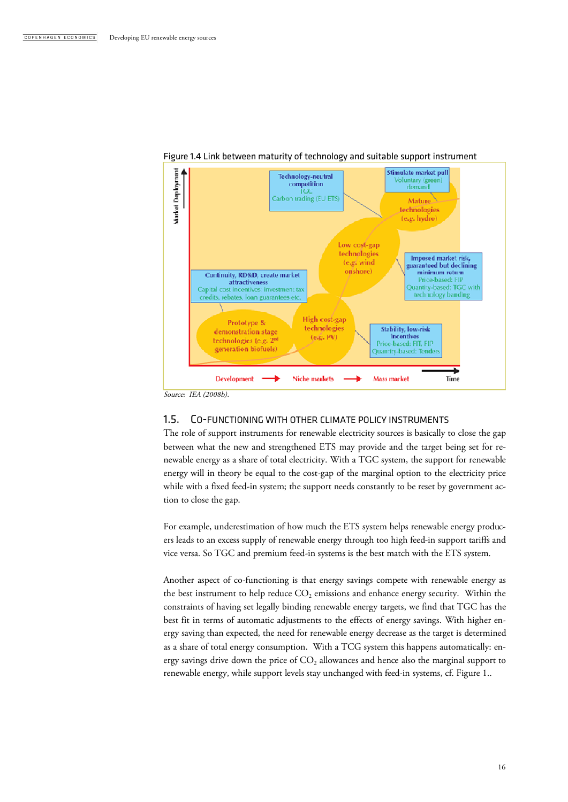

#### Figure 1.4 Link between maturity of technology and suitable support instrument

1.5. CO-FUNCTIONING WITH OTHER CLIMATE POLICY INSTRUMENTS

The role of support instruments for renewable electricity sources is basically to close the gap between what the new and strengthened ETS may provide and the target being set for renewable energy as a share of total electricity. With a TGC system, the support for renewable energy will in theory be equal to the cost-gap of the marginal option to the electricity price while with a fixed feed-in system; the support needs constantly to be reset by government action to close the gap.

For example, underestimation of how much the ETS system helps renewable energy producers leads to an excess supply of renewable energy through too high feed-in support tariffs and vice versa. So TGC and premium feed-in systems is the best match with the ETS system.

Another aspect of co-functioning is that energy savings compete with renewable energy as the best instrument to help reduce  $CO<sub>2</sub>$  emissions and enhance energy security. Within the constraints of having set legally binding renewable energy targets, we find that TGC has the best fit in terms of automatic adjustments to the effects of energy savings. With higher energy saving than expected, the need for renewable energy decrease as the target is determined as a share of total energy consumption. With a TCG system this happens automatically: energy savings drive down the price of  $CO<sub>2</sub>$  allowances and hence also the marginal support to renewable energy, while support levels stay unchanged with feed-in systems, cf. Figure 1..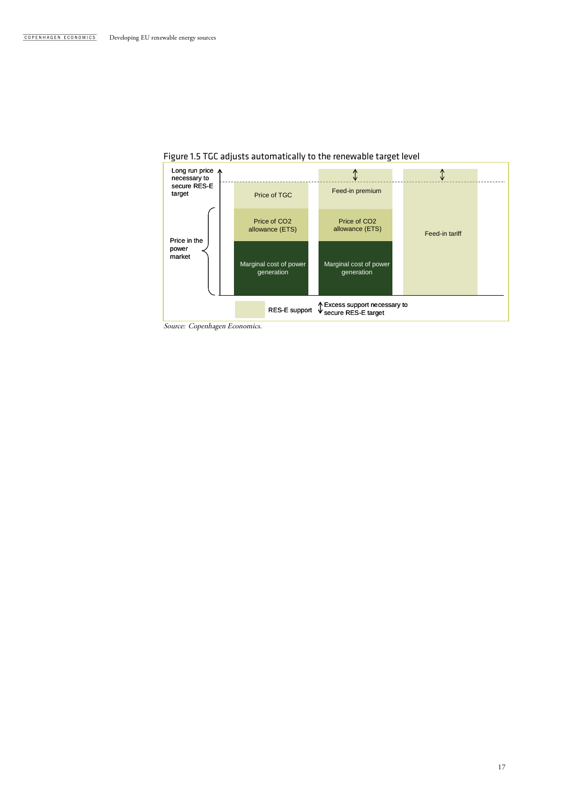



Source: Copenhagen Economics.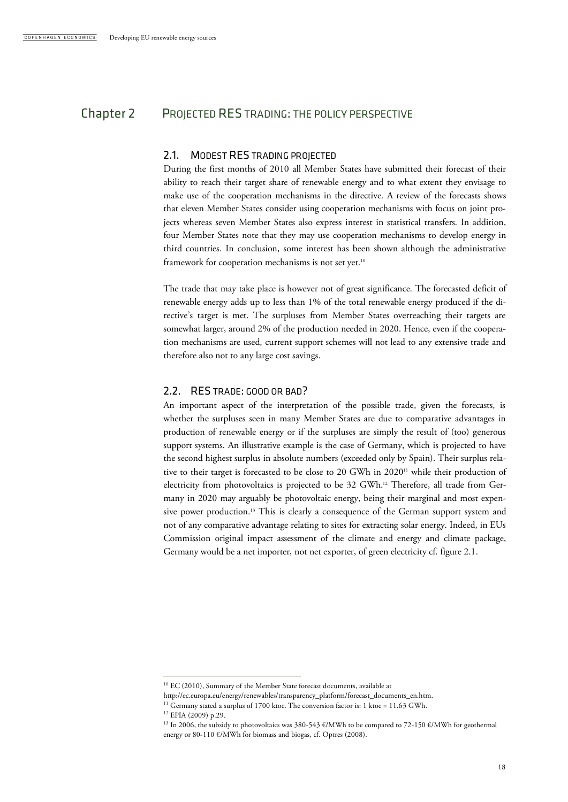# Chapter 2 PROJECTED RES TRADING: THE POLICY PERSPECTIVE

#### 2.1. MODEST RES TRADING PROJECTED

During the first months of 2010 all Member States have submitted their forecast of their ability to reach their target share of renewable energy and to what extent they envisage to make use of the cooperation mechanisms in the directive. A review of the forecasts shows that eleven Member States consider using cooperation mechanisms with focus on joint projects whereas seven Member States also express interest in statistical transfers. In addition, four Member States note that they may use cooperation mechanisms to develop energy in third countries. In conclusion, some interest has been shown although the administrative framework for cooperation mechanisms is not set yet.<sup>10</sup>

The trade that may take place is however not of great significance. The forecasted deficit of renewable energy adds up to less than 1% of the total renewable energy produced if the directive's target is met. The surpluses from Member States overreaching their targets are somewhat larger, around 2% of the production needed in 2020. Hence, even if the cooperation mechanisms are used, current support schemes will not lead to any extensive trade and therefore also not to any large cost savings.

### 2.2. RES TRADE: GOOD OR BAD?

An important aspect of the interpretation of the possible trade, given the forecasts, is whether the surpluses seen in many Member States are due to comparative advantages in production of renewable energy or if the surpluses are simply the result of (too) generous support systems. An illustrative example is the case of Germany, which is projected to have the second highest surplus in absolute numbers (exceeded only by Spain). Their surplus relative to their target is forecasted to be close to 20 GWh in 2020<sup>11</sup> while their production of electricity from photovoltaics is projected to be 32 GWh.<sup>12</sup> Therefore, all trade from Germany in 2020 may arguably be photovoltaic energy, being their marginal and most expensive power production.<sup>13</sup> This is clearly a consequence of the German support system and not of any comparative advantage relating to sites for extracting solar energy. Indeed, in EUs Commission original impact assessment of the climate and energy and climate package, Germany would be a net importer, not net exporter, of green electricity cf. figure 2.1.

<sup>&</sup>lt;sup>10</sup> EC (2010), Summary of the Member State forecast documents, available at

http://ec.europa.eu/energy/renewables/transparency\_platform/forecast\_documents\_en.htm.

<sup>&</sup>lt;sup>11</sup> Germany stated a surplus of 1700 ktoe. The conversion factor is: 1 ktoe =  $11.63$  GWh.

<sup>12</sup> EPIA (2009) p.29.

<sup>&</sup>lt;sup>13</sup> In 2006, the subsidy to photovoltaics was 380-543 €/MWh to be compared to 72-150 €/MWh for geothermal energy or 80-110 €/MWh for biomass and biogas, cf. Optres (2008).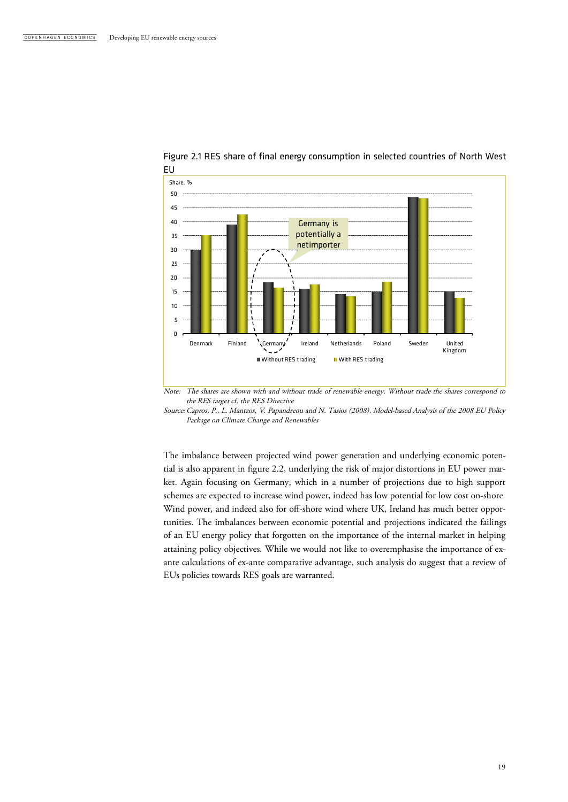

# Figure 2.1 RES share of final energy consumption in selected countries of North West

Note: The shares are shown with and without trade of renewable energy. Without trade the shares correspond to the RES target cf. the RES Directive

Source:Capros, P., L. Mantzos, V. Papandreou and N. Tasios (2008), Model-based Analysis of the 2008 EU Policy Package on Climate Change and Renewables

The imbalance between projected wind power generation and underlying economic potential is also apparent in figure 2.2, underlying the risk of major distortions in EU power market. Again focusing on Germany, which in a number of projections due to high support schemes are expected to increase wind power, indeed has low potential for low cost on-shore Wind power, and indeed also for off-shore wind where UK, Ireland has much better opportunities. The imbalances between economic potential and projections indicated the failings of an EU energy policy that forgotten on the importance of the internal market in helping attaining policy objectives. While we would not like to overemphasise the importance of exante calculations of ex-ante comparative advantage, such analysis do suggest that a review of EUs policies towards RES goals are warranted.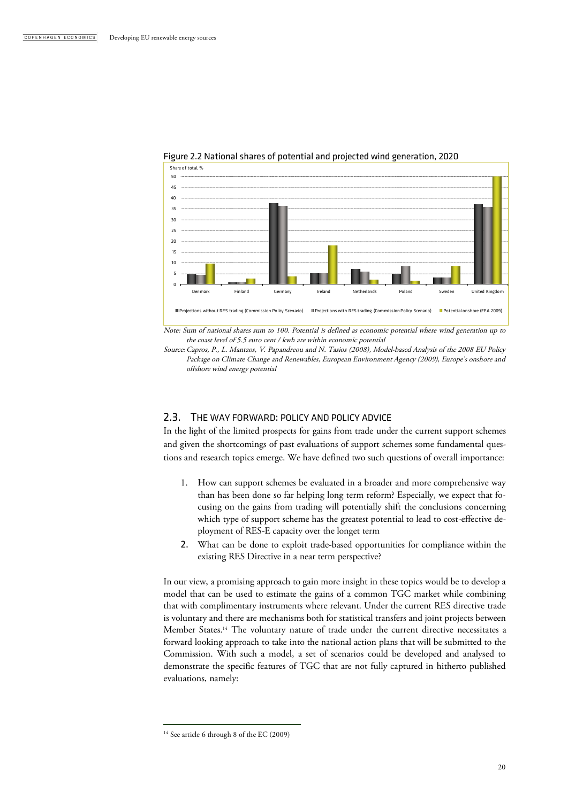



the coast level of 5.5 euro cent / kwh are within economic potential

Source:Capros, P., L. Mantzos, V. Papandreou and N. Tasios (2008), Model-based Analysis of the 2008 EU Policy Package on Climate Change and Renewables, European Environment Agency (2009), Europe's onshore and offshore wind energy potential

### 2.3. THE WAY FORWARD: POLICY AND POLICY ADVICE

In the light of the limited prospects for gains from trade under the current support schemes and given the shortcomings of past evaluations of support schemes some fundamental questions and research topics emerge. We have defined two such questions of overall importance:

- 1. How can support schemes be evaluated in a broader and more comprehensive way than has been done so far helping long term reform? Especially, we expect that focusing on the gains from trading will potentially shift the conclusions concerning which type of support scheme has the greatest potential to lead to cost-effective deployment of RES-E capacity over the longet term
- 2. What can be done to exploit trade-based opportunities for compliance within the existing RES Directive in a near term perspective?

In our view, a promising approach to gain more insight in these topics would be to develop a model that can be used to estimate the gains of a common TGC market while combining that with complimentary instruments where relevant. Under the current RES directive trade is voluntary and there are mechanisms both for statistical transfers and joint projects between Member States.<sup>14</sup> The voluntary nature of trade under the current directive necessitates a forward looking approach to take into the national action plans that will be submitted to the Commission. With such a model, a set of scenarios could be developed and analysed to demonstrate the specific features of TGC that are not fully captured in hitherto published evaluations, namely:

<sup>&</sup>lt;sup>14</sup> See article 6 through 8 of the EC (2009)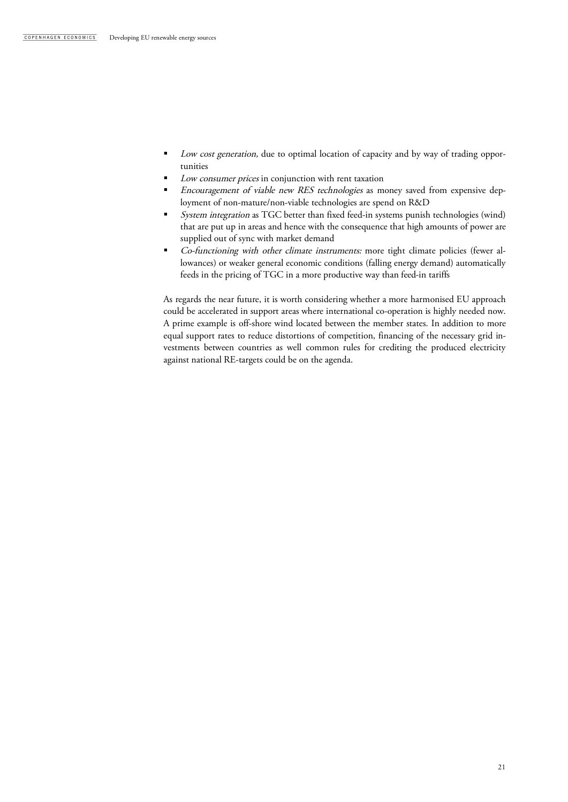- Low cost generation, due to optimal location of capacity and by way of trading opportunities
- Low consumer prices in conjunction with rent taxation
- Encouragement of viable new RES technologies as money saved from expensive deployment of non-mature/non-viable technologies are spend on R&D
- System integration as TGC better than fixed feed-in systems punish technologies (wind) that are put up in areas and hence with the consequence that high amounts of power are supplied out of sync with market demand
- Co-functioning with other climate instruments: more tight climate policies (fewer allowances) or weaker general economic conditions (falling energy demand) automatically feeds in the pricing of TGC in a more productive way than feed-in tariffs

As regards the near future, it is worth considering whether a more harmonised EU approach could be accelerated in support areas where international co-operation is highly needed now. A prime example is off-shore wind located between the member states. In addition to more equal support rates to reduce distortions of competition, financing of the necessary grid investments between countries as well common rules for crediting the produced electricity against national RE-targets could be on the agenda.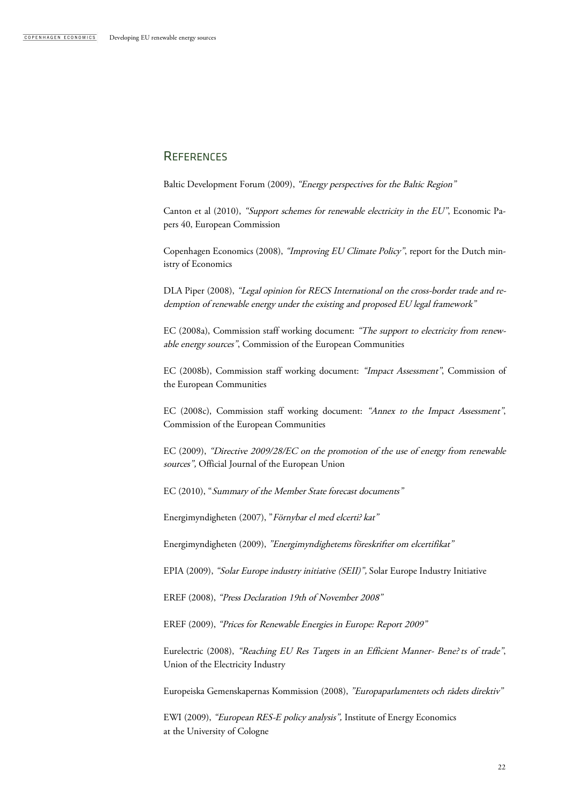# **REFERENCES**

Baltic Development Forum (2009), "Energy perspectives for the Baltic Region"

Canton et al (2010), "Support schemes for renewable electricity in the EU", Economic Papers 40, European Commission

Copenhagen Economics (2008), "Improving EU Climate Policy", report for the Dutch ministry of Economics

DLA Piper (2008), "Legal opinion for RECS International on the cross-border trade and redemption of renewable energy under the existing and proposed EU legal framework"

EC (2008a), Commission staff working document: "The support to electricity from renewable energy sources", Commission of the European Communities

EC (2008b), Commission staff working document: "Impact Assessment", Commission of the European Communities

EC (2008c), Commission staff working document: "Annex to the Impact Assessment", Commission of the European Communities

EC (2009), "Directive 2009/28/EC on the promotion of the use of energy from renewable sources", Official Journal of the European Union

EC (2010), "Summary of the Member State forecast documents"

Energimyndigheten (2007), "Förnybar el med elcerti? kat"

Energimyndigheten (2009), "Energimyndighetems föreskrifter om elcertifikat"

EPIA (2009), "Solar Europe industry initiative (SEII)", Solar Europe Industry Initiative

EREF (2008), "Press Declaration 19th of November 2008"

EREF (2009), "Prices for Renewable Energies in Europe: Report 2009"

Eurelectric (2008), "Reaching EU Res Targets in an Efficient Manner- Bene? ts of trade", Union of the Electricity Industry

Europeiska Gemenskapernas Kommission (2008), "Europaparlamentets och rådets direktiv"

EWI (2009), "European RES-E policy analysis", Institute of Energy Economics at the University of Cologne